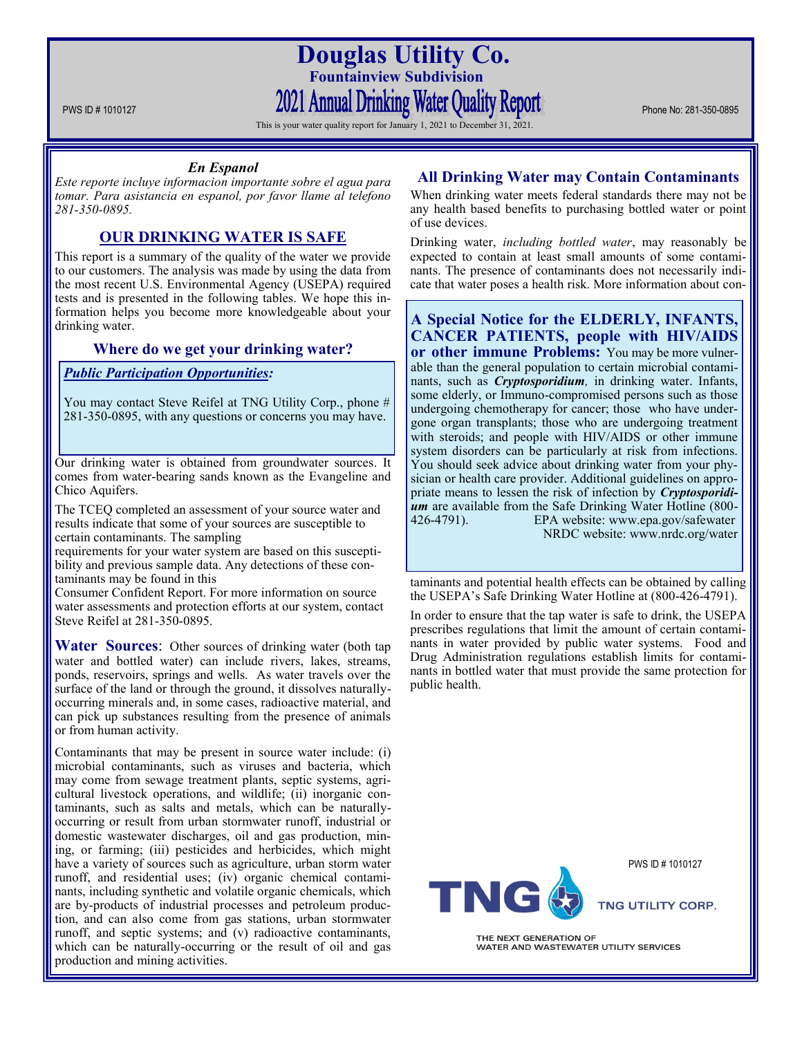**Douglas Utility Co. Fountainview Subdivision** PWS ID # 1010127 PHONE NO: 281-350-0895

This is your water quality report for January 1, 2021 to December 31, 2021.

### *En Espanol*

*Este reporte incluye informacion importante sobre el agua para tomar. Para asistancia en espanol, por favor llame al telefono 281-350-0895.*

# **OUR DRINKING WATER IS SAFE**

This report is a summary of the quality of the water we provide to our customers. The analysis was made by using the data from the most recent U.S. Environmental Agency (USEPA) required tests and is presented in the following tables. We hope this information helps you become more knowledgeable about your drinking water.

## **Where do we get your drinking water?**

## *Public Participation Opportunities:*

You may contact Steve Reifel at TNG Utility Corp., phone # 281-350-0895, with any questions or concerns you may have.

Our drinking water is obtained from groundwater sources. It comes from water-bearing sands known as the Evangeline and Chico Aquifers.

The TCEQ completed an assessment of your source water and results indicate that some of your sources are susceptible to certain contaminants. The sampling

requirements for your water system are based on this susceptibility and previous sample data. Any detections of these contaminants may be found in this

Consumer Confident Report. For more information on source water assessments and protection efforts at our system, contact Steve Reifel at 281-350-0895.

**Water Sources**: Other sources of drinking water (both tap water and bottled water) can include rivers, lakes, streams, ponds, reservoirs, springs and wells. As water travels over the surface of the land or through the ground, it dissolves naturallyoccurring minerals and, in some cases, radioactive material, and can pick up substances resulting from the presence of animals or from human activity.

Contaminants that may be present in source water include: (i) microbial contaminants, such as viruses and bacteria, which may come from sewage treatment plants, septic systems, agricultural livestock operations, and wildlife; (ii) inorganic contaminants, such as salts and metals, which can be naturallyoccurring or result from urban stormwater runoff, industrial or domestic wastewater discharges, oil and gas production, mining, or farming; (iii) pesticides and herbicides, which might have a variety of sources such as agriculture, urban storm water runoff, and residential uses; (iv) organic chemical contaminants, including synthetic and volatile organic chemicals, which are by-products of industrial processes and petroleum production, and can also come from gas stations, urban stormwater runoff, and septic systems; and (v) radioactive contaminants, which can be naturally-occurring or the result of oil and gas production and mining activities.

# **All Drinking Water may Contain Contaminants**

When drinking water meets federal standards there may not be any health based benefits to purchasing bottled water or point of use devices.

Drinking water, *including bottled water*, may reasonably be expected to contain at least small amounts of some contaminants. The presence of contaminants does not necessarily indicate that water poses a health risk. More information about con-

**A Special Notice for the ELDERLY, INFANTS, CANCER PATIENTS, people with HIV/AIDS or other immune Problems:** You may be more vulnerable than the general population to certain microbial contaminants, such as *Cryptosporidium,* in drinking water. Infants, some elderly, or Immuno-compromised persons such as those undergoing chemotherapy for cancer; those who have undergone organ transplants; those who are undergoing treatment with steroids; and people with HIV/AIDS or other immune system disorders can be particularly at risk from infections. You should seek advice about drinking water from your physician or health care provider. Additional guidelines on appropriate means to lessen the risk of infection by *Cryptosporidium* are available from the Safe Drinking Water Hotline (800- 426-4791). EPA website: www.epa.gov/safewater NRDC website: www.nrdc.org/water

taminants and potential health effects can be obtained by calling the USEPA's Safe Drinking Water Hotline at (800-426-4791).

In order to ensure that the tap water is safe to drink, the USEPA prescribes regulations that limit the amount of certain contaminants in water provided by public water systems. Food and Drug Administration regulations establish limits for contaminants in bottled water that must provide the same protection for public health.



PWS ID # 1010127



THE NEXT GENERATION OF WATER AND WASTEWATER UTILITY SERVICES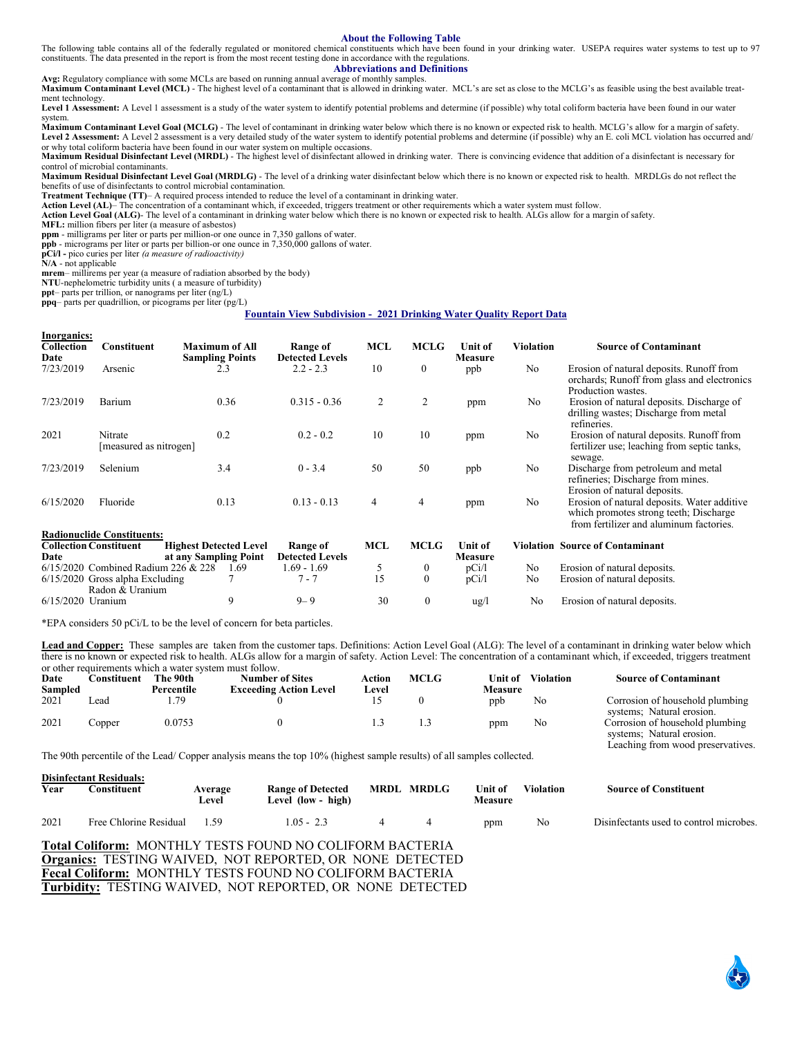#### **About the Following Table**

The following table contains all of the federally regulated or monitored chemical constituents which have been found in your drinking water. USEPA requires water systems to test up to 97 constituents. The data presented in the report is from the most recent testing done in accordance with the regulations.

# **Abbreviations and Definitions**

**Avg:** Regulatory compliance with some MCLs are based on running annual average of monthly samples. **Maximum Contaminant Level (MCL)** - The highest level of a contaminant that is allowed in drinking water. MCL's are set as close to the MCLG's as feasible using the best available treatment technology.

Level 1 Assessment: A Level 1 assessment is a study of the water system to identify potential problems and determine (if possible) why total coliform bacteria have been found in our water system.

**Maximum Contaminant Level Goal (MCLG)** - The level of contaminant in drinking water below which there is no known or expected risk to health. MCLG's allow for a margin of safety. Level 2 Assessment: A Level 2 assessment is a very detailed study of the water system to identify potential problems and determine (if possible) why an E. coli MCL violation has occurred and/ or why total coliform bacteria have been found in our water system on multiple occasions.

**Maximum Residual Disinfectant Level (MRDL)** - The highest level of disinfectant allowed in drinking water. There is convincing evidence that addition of a disinfectant is necessary for control of microbial contaminants.

**Maximum Residual Disinfectant Level Goal (MRDLG)** - The level of a drinking water disinfectant below which there is no known or expected risk to health. MRDLGs do not reflect the benefits of use of disinfectants to control microbial contamination.

**Treatment Technique (TT)**– A required process intended to reduce the level of a contaminant in drinking water.

**Action Level (AL)**– The concentration of a contaminant which, if exceeded, triggers treatment or other requirements which a water system must follow.

**Action Level Goal (ALG)**- The level of a contaminant in drinking water below which there is no known or expected risk to health. ALGs allow for a margin of safety.

**MFL:** million fibers per liter (a measure of asbestos)

**ppm** - milligrams per liter or parts per million-or one ounce in 7,350 gallons of water.

**ppb** - micrograms per liter or parts per billion-or one ounce in 7,350,000 gallons of water. **pCi/l -** pico curies per liter *(a measure of radioactivity)* 

**N/A** - not applicable

**mrem**– millirems per year (a measure of radiation absorbed by the body)

**NTU**-nephelometric turbidity units ( a measure of turbidity)

**ppt**– parts per trillion, or nanograms per liter (ng/L)

**ppq**– parts per quadrillion, or picograms per liter (pg/L)

#### **Fountain View Subdivision - 2021 Drinking Water Quality Report Data**

| <b>Inorganics:</b><br>Collection<br>Date | <b>Constituent</b>                                   | <b>Maximum of All</b><br><b>Sampling Points</b>        |      | Range of<br><b>Detected Levels</b> | <b>MCL</b> | <b>MCLG</b>      | <b>Unit of</b><br><b>Measure</b> | <b>Violation</b> | <b>Source of Contaminant</b>                                                                                                     |
|------------------------------------------|------------------------------------------------------|--------------------------------------------------------|------|------------------------------------|------------|------------------|----------------------------------|------------------|----------------------------------------------------------------------------------------------------------------------------------|
| 7/23/2019                                | Arsenic                                              | 2.3                                                    |      | $2.2 - 2.3$                        | 10         | $\boldsymbol{0}$ | ppb                              | N <sub>o</sub>   | Erosion of natural deposits. Runoff from<br>orchards; Runoff from glass and electronics<br>Production wastes.                    |
| 7/23/2019                                | Barium                                               | 0.36                                                   |      | $0.315 - 0.36$                     | 2          | 2                | ppm                              | No               | Erosion of natural deposits. Discharge of<br>drilling wastes; Discharge from metal<br>refineries.                                |
| 2021                                     | Nitrate<br>[measured as nitrogen]                    | 0.2                                                    |      | $0.2 - 0.2$                        | 10         | 10               | ppm                              | N <sub>o</sub>   | Erosion of natural deposits. Runoff from<br>fertilizer use; leaching from septic tanks,<br>sewage.                               |
| 7/23/2019                                | Selenium                                             | 3.4                                                    |      | $0 - 3.4$                          | 50         | 50               | ppb                              | N <sub>o</sub>   | Discharge from petroleum and metal<br>refineries; Discharge from mines.<br>Erosion of natural deposits.                          |
| 6/15/2020                                | Fluoride                                             | 0.13                                                   |      | $0.13 - 0.13$                      | 4          | 4                | ppm                              | N <sub>o</sub>   | Erosion of natural deposits. Water additive<br>which promotes strong teeth; Discharge<br>from fertilizer and aluminum factories. |
|                                          | <b>Radionuclide Constituents:</b>                    |                                                        |      |                                    |            |                  |                                  |                  |                                                                                                                                  |
| Date                                     | <b>Collection Constituent</b>                        | <b>Highest Detected Level</b><br>at any Sampling Point |      | Range of<br><b>Detected Levels</b> | MCL        | <b>MCLG</b>      | Unit of<br><b>Measure</b>        |                  | <b>Violation Source of Contaminant</b>                                                                                           |
|                                          | $6/15/2020$ Combined Radium 226 & 228                |                                                        | 1.69 | 1.69 - 1.69                        | 5          | $\boldsymbol{0}$ | pCi/1                            | N <sub>o</sub>   | Erosion of natural deposits.                                                                                                     |
|                                          | $6/15/2020$ Gross alpha Excluding<br>Radon & Uranium |                                                        |      | $7 - 7$                            | 15         | $\mathbf{0}$     | pCi/1                            | No               | Erosion of natural deposits.                                                                                                     |
| 6/15/2020 Uranium                        |                                                      | 9                                                      |      | $9 - 9$                            | 30         | $\boldsymbol{0}$ | $\frac{u g}{l}$                  | No               | Erosion of natural deposits.                                                                                                     |

\*EPA considers 50 pCi/L to be the level of concern for beta particles.

Lead and Copper: These samples are taken from the customer taps. Definitions: Action Level Goal (ALG): The level of a contaminant in drinking water below which there is no known or expected risk to health. ALGs allow for a margin of safety. Action Level: The concentration of a contaminant which, if exceeded, triggers treatment or other requirements which a water system must follow.

| Date<br>Sampled | Constituent: | The 90th<br>Percentile | <b>Number of Sites</b><br><b>Exceeding Action Level</b> | Action<br>Level | <b>MCLG</b> | Unit of<br><b>Measure</b> | <b>Violation</b> | <b>Source of Contaminant</b>                                 |
|-----------------|--------------|------------------------|---------------------------------------------------------|-----------------|-------------|---------------------------|------------------|--------------------------------------------------------------|
| 2021            | ∟ead         | . . 79                 |                                                         |                 |             | ppb                       | No               | Corrosion of household plumbing                              |
| 2021            | Copper       | 0.0753                 |                                                         |                 |             | ppm                       | No               | systems; Natural erosion.<br>Corrosion of household plumbing |
|                 |              |                        |                                                         |                 |             |                           |                  | systems; Natural erosion.                                    |
|                 |              |                        |                                                         |                 |             |                           |                  | Leaching from wood preservatives.                            |

The 90th percentile of the Lead/ Copper analysis means the top 10% (highest sample results) of all samples collected.

| Year | <b>Disinfectant Residuals:</b><br>donstituent | Average<br>Level | <b>Range of Detected</b><br>Level (low - high) | <b>MRDL MRDLG</b> | Unit of<br><b>Measure</b> | Violation | <b>Source of Constituent</b>            |
|------|-----------------------------------------------|------------------|------------------------------------------------|-------------------|---------------------------|-----------|-----------------------------------------|
| 2021 | Free Chlorine Residual                        | - 1.59           | $1.05 - 2.3$                                   |                   | ppm                       | No        | Disinfectants used to control microbes. |

**Total Coliform:** MONTHLY TESTS FOUND NO COLIFORM BACTERIA **Organics:** TESTING WAIVED, NOT REPORTED, OR NONE DETECTED **Fecal Coliform:** MONTHLY TESTS FOUND NO COLIFORM BACTERIA **Turbidity:** TESTING WAIVED, NOT REPORTED, OR NONE DETECTED